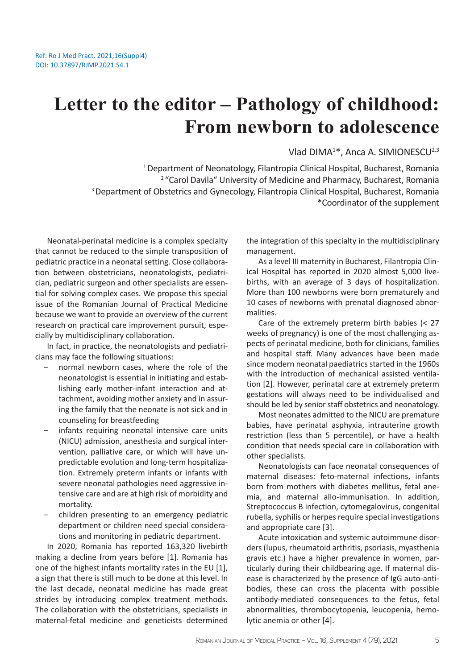## **Letter to the editor – Pathology of childhood: From newborn to adolescence**

Vlad DIMA<sup>1\*</sup>, Anca A. SIMIONESCU<sup>2,3</sup>

<sup>1</sup> Department of Neonatology, Filantropia Clinical Hospital, Bucharest, Romania <sup>2</sup> "Carol Davila" University of Medicine and Pharmacy, Bucharest, Romania <sup>3</sup> Department of Obstetrics and Gynecology, Filantropia Clinical Hospital, Bucharest, Romania \*Coordinator of the supplement

Neonatal-perinatal medicine is a complex specialty that cannot be reduced to the simple transposition of pediatric practice in a neonatal setting. Close collaboration between obstetricians, neonatologists, pediatrician, pediatric surgeon and other specialists are essential for solving complex cases. We propose this special issue of the Romanian Journal of Practical Medicine because we want to provide an overview of the current research on practical care improvement pursuit, especially by multidisciplinary collaboration.

In fact, in practice, the neonatologists and pediatricians may face the following situations:

- normal newborn cases, where the role of the neonatologist is essential in initiating and establishing early mother-infant interaction and attachment, avoiding mother anxiety and in assuring the family that the neonate is not sick and in counseling for breastfeeding
- infants requiring neonatal intensive care units (NICU) admission, anesthesia and surgical intervention, palliative care, or which will have unpredictable evolution and long-term hospitalization. Extremely preterm infants or infants with severe neonatal pathologies need aggressive intensive care and are at high risk of morbidity and mortality.
- − children presenting to an emergency pediatric department or children need special considerations and monitoring in pediatric department.

In 2020, Romania has reported 163,320 livebirth making a decline from years before [1]. Romania has one of the highest infants mortality rates in the EU [1], a sign that there is still much to be done at this level. In the last decade, neonatal medicine has made great strides by introducing complex treatment methods. The collaboration with the obstetricians, specialists in maternal-fetal medicine and geneticists determined

the integration of this specialty in the multidisciplinary management.

As a level III maternity in Bucharest, Filantropia Clinical Hospital has reported in 2020 almost 5,000 livebirths, with an average of 3 days of hospitalization. More than 100 newborns were born prematurely and 10 cases of newborns with prenatal diagnosed abnormalities.

Care of the extremely preterm birth babies (˂ 27 weeks of pregnancy) is one of the most challenging aspects of perinatal medicine, both for clinicians, families and hospital staff. Many advances have been made since modern neonatal paediatrics started in the 1960s with the introduction of mechanical assisted ventilation [2]. However, perinatal care at extremely preterm gestations will always need to be individualised and should be led by senior staff obstetrics and neonatology.

Most neonates admitted to the NICU are premature babies, have perinatal asphyxia, intrauterine growth restriction (less than 5 percentile), or have a health condition that needs special care in collaboration with other specialists.

Neonatologists can face neonatal consequences of maternal diseases: feto-maternal infections, infants born from mothers with diabetes mellitus, fetal anemia, and maternal allo-immunisation. In addition, Streptococcus B infection, cytomegalovirus, congenital rubella, syphilis or herpes require special investigations and appropriate care [3].

Acute intoxication and systemic autoimmune disorders (lupus, rheumatoid arthritis, psoriasis, myasthenia gravis etc.) have a higher prevalence in women, particularly during their childbearing age. If maternal disease is characterized by the presence of IgG auto-antibodies, these can cross the placenta with possible antibody-mediated consequences to the fetus, fetal abnormalities, thrombocytopenia, leucopenia, hemolytic anemia or other [4].